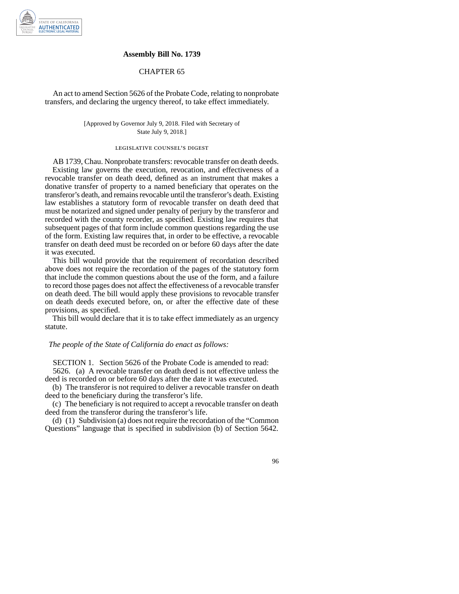

## **Assembly Bill No. 1739**

## CHAPTER 65

An act to amend Section 5626 of the Probate Code, relating to nonprobate transfers, and declaring the urgency thereof, to take effect immediately.

> [Approved by Governor July 9, 2018. Filed with Secretary of State July 9, 2018.]

## legislative counsel' s digest

AB 1739, Chau. Nonprobate transfers: revocable transfer on death deeds. Existing law governs the execution, revocation, and effectiveness of a revocable transfer on death deed, defined as an instrument that makes a donative transfer of property to a named beneficiary that operates on the transferor's death, and remains revocable until the transferor's death. Existing law establishes a statutory form of revocable transfer on death deed that must be notarized and signed under penalty of perjury by the transferor and recorded with the county recorder, as specified. Existing law requires that subsequent pages of that form include common questions regarding the use of the form. Existing law requires that, in order to be effective, a revocable transfer on death deed must be recorded on or before 60 days after the date it was executed.

This bill would provide that the requirement of recordation described above does not require the recordation of the pages of the statutory form that include the common questions about the use of the form, and a failure to record those pages does not affect the effectiveness of a revocable transfer on death deed. The bill would apply these provisions to revocable transfer on death deeds executed before, on, or after the effective date of these provisions, as specified.

This bill would declare that it is to take effect immediately as an urgency statute.

## *The people of the State of California do enact as follows:*

SECTION 1. Section 5626 of the Probate Code is amended to read: 5626. (a) A revocable transfer on death deed is not effective unless the

deed is recorded on or before 60 days after the date it was executed.

(b) The transferor is not required to deliver a revocable transfer on death deed to the beneficiary during the transferor's life.

(c) The beneficiary is not required to accept a revocable transfer on death deed from the transferor during the transferor's life.

(d) (1) Subdivision (a) does not require the recordation of the "Common Questions" language that is specified in subdivision (b) of Section 5642.

96